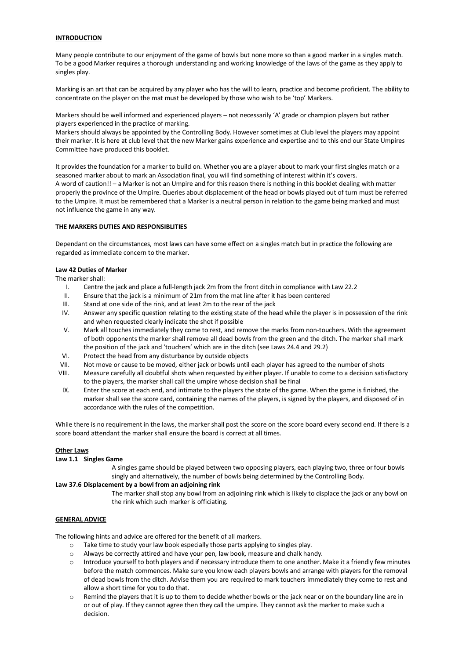# **INTRODUCTION**

Many people contribute to our enjoyment of the game of bowls but none more so than a good marker in a singles match. To be a good Marker requires a thorough understanding and working knowledge of the laws of the game as they apply to singles play.

Marking is an art that can be acquired by any player who has the will to learn, practice and become proficient. The ability to concentrate on the player on the mat must be developed by those who wish to be 'top' Markers.

Markers should be well informed and experienced players – not necessarily 'A' grade or champion players but rather players experienced in the practice of marking.

Markers should always be appointed by the Controlling Body. However sometimes at Club level the players may appoint their marker. It is here at club level that the new Marker gains experience and expertise and to this end our State Umpires Committee have produced this booklet.

It provides the foundation for a marker to build on. Whether you are a player about to mark your first singles match or a seasoned marker about to mark an Association final, you will find something of interest within it's covers. A word of caution!! – a Marker is not an Umpire and for this reason there is nothing in this booklet dealing with matter properly the province of the Umpire. Queries about displacement of the head or bowls played out of turn must be referred to the Umpire. It must be remembered that a Marker is a neutral person in relation to the game being marked and must not influence the game in any way.

# **THE MARKERS DUTIES AND RESPONSIBLITIES**

Dependant on the circumstances, most laws can have some effect on a singles match but in practice the following are regarded as immediate concern to the marker.

#### **Law 42 Duties of Marker**

The marker shall:

- I. Centre the jack and place a full-length jack 2m from the front ditch in compliance with Law 22.2
- II. Ensure that the jack is a minimum of 21m from the mat line after it has been centered<br>III. Stand at one side of the rink, and at least 2m to the rear of the jack
- III. Stand at one side of the rink, and at least  $2m$  to the rear of the jack IV. Answer any specific question relating to the existing state of the hear
- Answer any specific question relating to the existing state of the head while the player is in possession of the rink and when requested clearly indicate the shot if possible
- V. Mark all touches immediately they come to rest, and remove the marks from non-touchers. With the agreement of both opponents the marker shall remove all dead bowls from the green and the ditch. The marker shall mark the position of the jack and 'touchers' which are in the ditch (see Laws 24.4 and 29.2)
- VI. Protect the head from any disturbance by outside objects
- VII. Not move or cause to be moved, either jack or bowls until each player has agreed to the number of shots
- VIII. Measure carefully all doubtful shots when requested by either player. If unable to come to a decision satisfactory to the players, the marker shall call the umpire whose decision shall be final
- IX. Enter the score at each end, and intimate to the players the state of the game. When the game is finished, the marker shall see the score card, containing the names of the players, is signed by the players, and disposed of in accordance with the rules of the competition.

While there is no requirement in the laws, the marker shall post the score on the score board every second end. If there is a score board attendant the marker shall ensure the board is correct at all times.

#### **Other Laws**

# **Law 1.1 Singles Game**

A singles game should be played between two opposing players, each playing two, three or four bowls singly and alternatively, the number of bowls being determined by the Controlling Body.

# **Law 37.6 Displacement by a bowl from an adjoining rink**

The marker shall stop any bowl from an adjoining rink which is likely to displace the jack or any bowl on the rink which such marker is officiating.

# **GENERAL ADVICE**

The following hints and advice are offered for the benefit of all markers.

- o Take time to study your law book especially those parts applying to singles play.
- $\circ$  Always be correctly attired and have your pen, law book, measure and chalk handy.
- $\circ$  Introduce yourself to both players and if necessary introduce them to one another. Make it a friendly few minutes before the match commences. Make sure you know each players bowls and arrange with players for the removal of dead bowls from the ditch. Advise them you are required to mark touchers immediately they come to rest and allow a short time for you to do that.
- $\circ$  Remind the players that it is up to them to decide whether bowls or the jack near or on the boundary line are in or out of play. If they cannot agree then they call the umpire. They cannot ask the marker to make such a decision.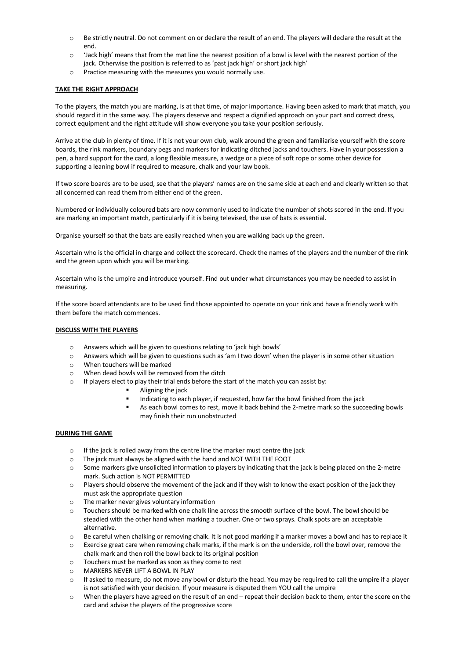- o Be strictly neutral. Do not comment on or declare the result of an end. The players will declare the result at the end.
- $\circ$  'Jack high' means that from the mat line the nearest position of a bowl is level with the nearest portion of the jack. Otherwise the position is referred to as 'past jack high' or short jack high'
- o Practice measuring with the measures you would normally use.

# **TAKE THE RIGHT APPROACH**

To the players, the match you are marking, is at that time, of major importance. Having been asked to mark that match, you should regard it in the same way. The players deserve and respect a dignified approach on your part and correct dress, correct equipment and the right attitude will show everyone you take your position seriously.

Arrive at the club in plenty of time. If it is not your own club, walk around the green and familiarise yourself with the score boards, the rink markers, boundary pegs and markers for indicating ditched jacks and touchers. Have in your possession a pen, a hard support for the card, a long flexible measure, a wedge or a piece of soft rope or some other device for supporting a leaning bowl if required to measure, chalk and your law book.

If two score boards are to be used, see that the players' names are on the same side at each end and clearly written so that all concerned can read them from either end of the green.

Numbered or individually coloured bats are now commonly used to indicate the number of shots scored in the end. If you are marking an important match, particularly if it is being televised, the use of bats is essential.

Organise yourself so that the bats are easily reached when you are walking back up the green.

Ascertain who is the official in charge and collect the scorecard. Check the names of the players and the number of the rink and the green upon which you will be marking.

Ascertain who is the umpire and introduce yourself. Find out under what circumstances you may be needed to assist in measuring.

If the score board attendants are to be used find those appointed to operate on your rink and have a friendly work with them before the match commences.

# **DISCUSS WITH THE PLAYERS**

- o Answers which will be given to questions relating to 'jack high bowls'
- o Answers which will be given to questions such as 'am I two down' when the player is in some other situation
- o When touchers will be marked
- $\circ$  When dead bowls will be removed from the ditch  $\circ$  If players elect to play their trial ends hefore the s
	- If players elect to play their trial ends before the start of the match you can assist by:
		- Aligning the jack
		- Indicating to each player, if requested, how far the bowl finished from the jack
		- **•** As each bowl comes to rest, move it back behind the 2-metre mark so the succeeding bowls may finish their run unobstructed

# **DURING THE GAME**

- $\circ$  If the jack is rolled away from the centre line the marker must centre the jack
- o The jack must always be aligned with the hand and NOT WITH THE FOOT
- $\circ$  Some markers give unsolicited information to players by indicating that the jack is being placed on the 2-metre mark. Such action is NOT PERMITTED
- o Players should observe the movement of the jack and if they wish to know the exact position of the jack they must ask the appropriate question
- o The marker never gives voluntary information
- o Touchers should be marked with one chalk line across the smooth surface of the bowl. The bowl should be steadied with the other hand when marking a toucher. One or two sprays. Chalk spots are an acceptable alternative.
- o Be careful when chalking or removing chalk. It is not good marking if a marker moves a bowl and has to replace it
- o Exercise great care when removing chalk marks, if the mark is on the underside, roll the bowl over, remove the chalk mark and then roll the bowl back to its original position
- o Touchers must be marked as soon as they come to rest
- o MARKERS NEVER LIFT A BOWL IN PLAY
- $\circ$  If asked to measure, do not move any bowl or disturb the head. You may be required to call the umpire if a player is not satisfied with your decision. If your measure is disputed them YOU call the umpire
- o When the players have agreed on the result of an end repeat their decision back to them, enter the score on the card and advise the players of the progressive score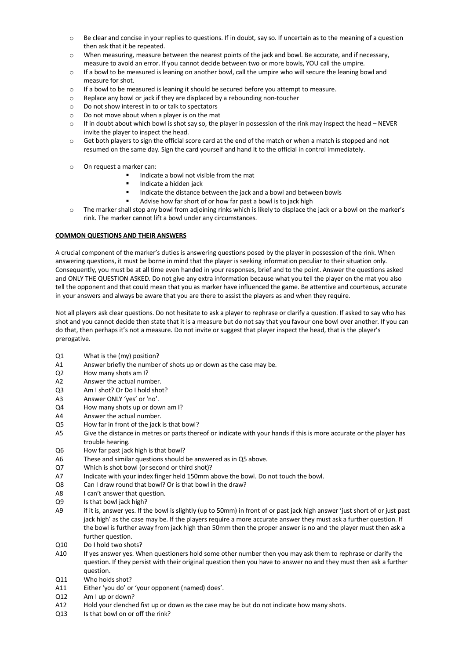- o Be clear and concise in your replies to questions. If in doubt, say so. If uncertain as to the meaning of a question then ask that it be repeated.
- o When measuring, measure between the nearest points of the jack and bowl. Be accurate, and if necessary, measure to avoid an error. If you cannot decide between two or more bowls, YOU call the umpire.
- o If a bowl to be measured is leaning on another bowl, call the umpire who will secure the leaning bowl and measure for shot.
- o If a bowl to be measured is leaning it should be secured before you attempt to measure.
- o Replace any bowl or jack if they are displaced by a rebounding non-toucher
- o Do not show interest in to or talk to spectators
- o Do not move about when a player is on the mat
- o If in doubt about which bowl is shot say so, the player in possession of the rink may inspect the head NEVER invite the player to inspect the head.
- o Get both players to sign the official score card at the end of the match or when a match is stopped and not resumed on the same day. Sign the card yourself and hand it to the official in control immediately.
- o On request a marker can:
	- Indicate a bowl not visible from the mat
		- § Indicate a hidden jack
	- Indicate the distance between the jack and a bowl and between bowls
	- Advise how far short of or how far past a bowl is to jack high
- o The marker shall stop any bowl from adjoining rinks which is likely to displace the jack or a bowl on the marker's rink. The marker cannot lift a bowl under any circumstances.

# **COMMON QUESTIONS AND THEIR ANSWERS**

A crucial component of the marker's duties is answering questions posed by the player in possession of the rink. When answering questions, it must be borne in mind that the player is seeking information peculiar to their situation only. Consequently, you must be at all time even handed in your responses, brief and to the point. Answer the questions asked and ONLY THE QUESTION ASKED. Do not give any extra information because what you tell the player on the mat you also tell the opponent and that could mean that you as marker have influenced the game. Be attentive and courteous, accurate in your answers and always be aware that you are there to assist the players as and when they require.

Not all players ask clear questions. Do not hesitate to ask a player to rephrase or clarify a question. If asked to say who has shot and you cannot decide then state that it is a measure but do not say that you favour one bowl over another. If you can do that, then perhaps it's not a measure. Do not invite or suggest that player inspect the head, that is the player's prerogative.

- Q1 What is the (my) position?
- A1 Answer briefly the number of shots up or down as the case may be.
- Q2 How many shots am I?
- A2 Answer the actual number.
- Q3 Am I shot? Or Do I hold shot?
- A3 Answer ONLY 'yes' or 'no'.
- Q4 How many shots up or down am I?
- A4 Answer the actual number.
- Q5 How far in front of the jack is that bowl?
- A5 Give the distance in metres or parts thereof or indicate with your hands if this is more accurate or the player has trouble hearing.
- Q6 How far past jack high is that bowl?
- A6 These and similar questions should be answered as in Q5 above.
- Q7 Which is shot bowl (or second or third shot)?
- A7 Indicate with your index finger held 150mm above the bowl. Do not touch the bowl.
- Q8 Can I draw round that bowl? Or is that bowl in the draw?
- A8 I can't answer that question.
- Q9 Is that bowl jack high?
- A9 if it is, answer yes. If the bowl is slightly (up to 50mm) in front of or past jack high answer 'just short of or just past jack high' as the case may be. If the players require a more accurate answer they must ask a further question. If the bowl is further away from jack high than 50mm then the proper answer is no and the player must then ask a further question.
- Q10 Do I hold two shots?
- A10 If yes answer yes. When questioners hold some other number then you may ask them to rephrase or clarify the question. If they persist with their original question then you have to answer no and they must then ask a further question.
- Q11 Who holds shot?
- A11 Either 'you do' or 'your opponent (named) does'.
- Q12 Am I up or down?
- A12 Hold your clenched fist up or down as the case may be but do not indicate how many shots.
- Q13 Is that bowl on or off the rink?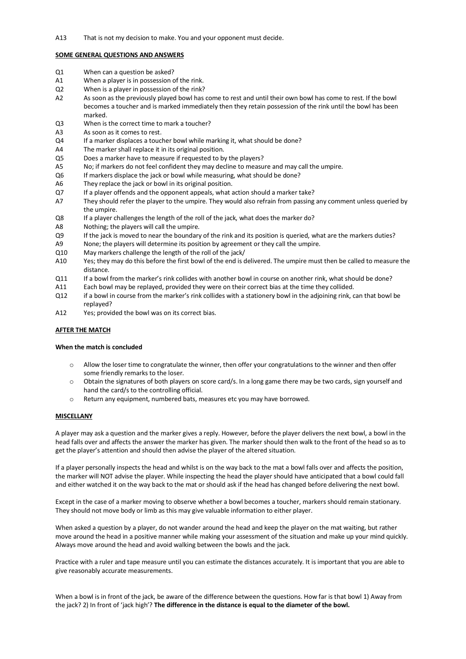#### **SOME GENERAL QUESTIONS AND ANSWERS**

- Q1 When can a question be asked?
- A1 When a player is in possession of the rink.
- Q2 When is a player in possession of the rink?
- A2 As soon as the previously played bowl has come to rest and until their own bowl has come to rest. If the bowl becomes a toucher and is marked immediately then they retain possession of the rink until the bowl has been marked.
- Q3 When is the correct time to mark a toucher?
- A3 As soon as it comes to rest.
- Q4 If a marker displaces a toucher bowl while marking it, what should be done?
- A4 The marker shall replace it in its original position.
- Q5 Does a marker have to measure if requested to by the players?
- A5 No; if markers do not feel confident they may decline to measure and may call the umpire.
- Q6 If markers displace the jack or bowl while measuring, what should be done?
- A6 They replace the jack or bowl in its original position.
- Q7 If a player offends and the opponent appeals, what action should a marker take?
- A7 They should refer the player to the umpire. They would also refrain from passing any comment unless queried by the umpire.
- Q8 If a player challenges the length of the roll of the jack, what does the marker do?
- A8 Nothing; the players will call the umpire.
- Q9 If the jack is moved to near the boundary of the rink and its position is queried, what are the markers duties?
- A9 None; the players will determine its position by agreement or they call the umpire.
- Q10 May markers challenge the length of the roll of the jack/
- A10 Yes; they may do this before the first bowl of the end is delivered. The umpire must then be called to measure the distance.
- Q11 If a bowl from the marker's rink collides with another bowl in course on another rink, what should be done?
- A11 Each bowl may be replayed, provided they were on their correct bias at the time they collided.
- Q12 if a bowl in course from the marker's rink collides with a stationery bowl in the adjoining rink, can that bowl be replayed?
- A12 Yes; provided the bowl was on its correct bias.

# **AFTER THE MATCH**

#### **When the match is concluded**

- o Allow the loser time to congratulate the winner, then offer your congratulations to the winner and then offer some friendly remarks to the loser.
- $\circ$  Obtain the signatures of both players on score card/s. In a long game there may be two cards, sign yourself and hand the card/s to the controlling official.
- o Return any equipment, numbered bats, measures etc you may have borrowed.

#### **MISCELLANY**

A player may ask a question and the marker gives a reply. However, before the player delivers the next bowl, a bowl in the head falls over and affects the answer the marker has given. The marker should then walk to the front of the head so as to get the player's attention and should then advise the player of the altered situation.

If a player personally inspects the head and whilst is on the way back to the mat a bowl falls over and affects the position, the marker will NOT advise the player. While inspecting the head the player should have anticipated that a bowl could fall and either watched it on the way back to the mat or should ask if the head has changed before delivering the next bowl.

Except in the case of a marker moving to observe whether a bowl becomes a toucher, markers should remain stationary. They should not move body or limb as this may give valuable information to either player.

When asked a question by a player, do not wander around the head and keep the player on the mat waiting, but rather move around the head in a positive manner while making your assessment of the situation and make up your mind quickly. Always move around the head and avoid walking between the bowls and the jack.

Practice with a ruler and tape measure until you can estimate the distances accurately. It is important that you are able to give reasonably accurate measurements.

When a bowl is in front of the jack, be aware of the difference between the questions. How far is that bowl 1) Away from the jack? 2) In front of 'jack high'? **The difference in the distance is equal to the diameter of the bowl.**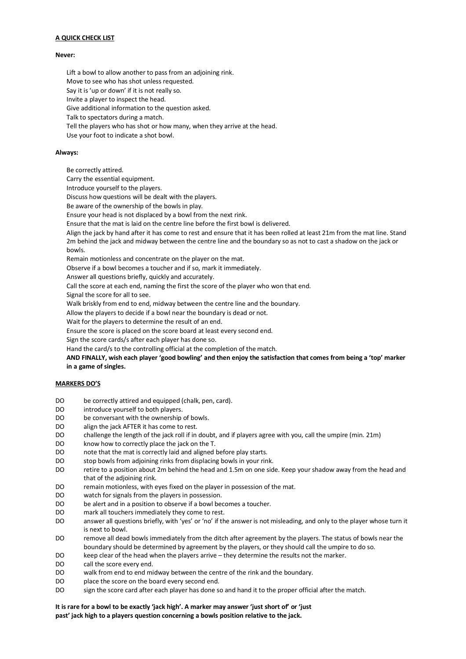# **A QUICK CHECK LIST**

#### **Never:**

Lift a bowl to allow another to pass from an adjoining rink.

Move to see who has shot unless requested.

Say it is 'up or down' if it is not really so.

Invite a player to inspect the head.

Give additional information to the question asked.

Talk to spectators during a match.

Tell the players who has shot or how many, when they arrive at the head.

Use your foot to indicate a shot bowl.

#### **Always:**

Be correctly attired.

Carry the essential equipment.

Introduce yourself to the players.

Discuss how questions will be dealt with the players.

Be aware of the ownership of the bowls in play.

Ensure your head is not displaced by a bowl from the next rink.

Ensure that the mat is laid on the centre line before the first bowl is delivered.

 Align the jack by hand after it has come to rest and ensure that it has been rolled at least 21m from the mat line. Stand 2m behind the jack and midway between the centre line and the boundary so as not to cast a shadow on the jack or bowls.

Remain motionless and concentrate on the player on the mat.

Observe if a bowl becomes a toucher and if so, mark it immediately.

Answer all questions briefly, quickly and accurately.

Call the score at each end, naming the first the score of the player who won that end.

Signal the score for all to see.

Walk briskly from end to end, midway between the centre line and the boundary.

Allow the players to decide if a bowl near the boundary is dead or not.

Wait for the players to determine the result of an end.

Ensure the score is placed on the score board at least every second end.

Sign the score cards/s after each player has done so.

Hand the card/s to the controlling official at the completion of the match.

 **AND FINALLY, wish each player 'good bowling' and then enjoy the satisfaction that comes from being a 'top' marker in a game of singles.**

# **MARKERS DO'S**

- DO be correctly attired and equipped (chalk, pen, card).
- DO introduce yourself to both players.
- DO be conversant with the ownership of bowls.
- DO align the jack AFTER it has come to rest.
- DO challenge the length of the jack roll if in doubt, and if players agree with you, call the umpire (min. 21m)
- DO know how to correctly place the jack on the T.
- DO note that the mat is correctly laid and aligned before play starts.
- DO stop bowls from adjoining rinks from displacing bowls in your rink.
- DO retire to a position about 2m behind the head and 1.5m on one side. Keep your shadow away from the head and that of the adjoining rink.
- DO remain motionless, with eyes fixed on the player in possession of the mat.
- DO watch for signals from the players in possession.
- DO be alert and in a position to observe if a bowl becomes a toucher.
- DO mark all touchers immediately they come to rest.
- DO answer all questions briefly, with 'yes' or 'no' if the answer is not misleading, and only to the player whose turn it is next to bowl.
- DO remove all dead bowls immediately from the ditch after agreement by the players. The status of bowls near the boundary should be determined by agreement by the players, or they should call the umpire to do so.
- DO keep clear of the head when the players arrive they determine the results not the marker.
- DO call the score every end.
- DO walk from end to end midway between the centre of the rink and the boundary.
- DO place the score on the board every second end.
- DO sign the score card after each player has done so and hand it to the proper official after the match.

# **It is rare for a bowl to be exactly 'jack high'. A marker may answer 'just short of' or 'just**

**past' jack high to a players question concerning a bowls position relative to the jack.**